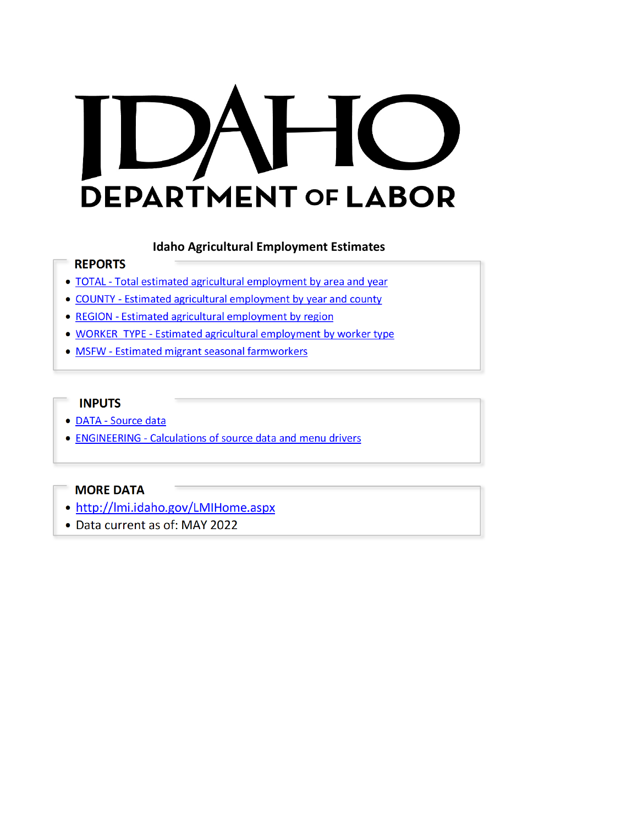# HO **DEPARTMENT OF LABOR**

# **Idaho Agricultural Employment Estimates**

# **REPORTS**

- TOTAL Total estimated agricultural employment by area and year
- COUNTY Estimated agricultural employment by year and county
- REGION Estimated agricultural employment by region
- WORKER\_TYPE Estimated agricultural employment by worker type
- MSFW ‐ Estimated migrant seasonal farmworkers

## **INPUTS**

- DATA Source data
- ENGINEERING Calculations of source data and menu drivers

# **MORE DATA**

- http://lmi.idaho.gov/LMIHome.aspx
- Data current as of: MAY 2022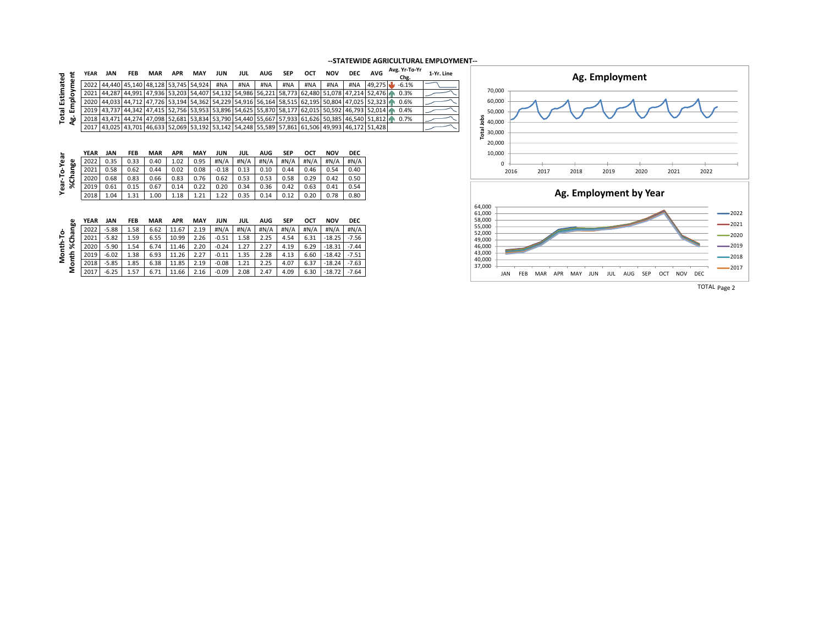

#### **‐‐STATEWIDE AGRICULTURAL EMPLOYMENT‐‐**

|                        | Employment    | <b>YEAR</b> | <b>JAN</b> | <b>FEB</b> | <b>MAR</b>                                                                                 | <b>APR</b> | MAY  | <b>JUN</b> | <b>JUL</b> | <b>AUG</b> | <b>SEP</b> | OCT  | <b>NOV</b> | <b>DEC</b> | <b>AVG</b> | Avg. Yr-To-Yr<br>Chg. | 1-Yr. Line |
|------------------------|---------------|-------------|------------|------------|--------------------------------------------------------------------------------------------|------------|------|------------|------------|------------|------------|------|------------|------------|------------|-----------------------|------------|
| <b>Total Estimated</b> |               | 2022        |            |            | 44,440 45,140 48,128 53,745 54,924                                                         |            |      | #NA        | #NA        | #NA        | #NA        | #NA  | #NA        | #NA        | 49,275     | $-6.1%$               |            |
|                        |               | 2021        |            |            | 44,287 44,991 47,936 53,203 54,407 54,132 54,986 56,221 58,773 62,480 51,078 47,214        |            |      |            |            |            |            |      |            |            | 52,476     | 0.3%                  |            |
|                        |               | 2020        |            |            | 44,033 44,712 47,726 53,194 54,362 54,229 54,916 56,164 58,515 62,195 50,804 47,025 52,323 |            |      |            |            |            |            |      |            |            |            | 0.6%                  |            |
|                        |               | 2019        |            |            | 43,737 44,342 47,415 52,756 53,953 53,896 54,625 55,870 58,177 62,015 50,592 46,793 52,014 |            |      |            |            |            |            |      |            |            |            | 0.4%                  |            |
|                        | قع            | 2018        |            |            | 43,471 44,274 47,098 52,681 53,834 53,790 54,440 55,667 57,933 61,626 50,385 46,540 51,812 |            |      |            |            |            |            |      |            |            |            | 0.7%                  |            |
|                        |               | 2017        |            |            | 43,025 43,701 46,633 52,069 53,192 53,142 54,248 55,589 57,861 61,506 49,993 46,172        |            |      |            |            |            |            |      |            |            | 51,428     |                       |            |
|                        |               |             |            |            |                                                                                            |            |      |            |            |            |            |      |            |            |            |                       |            |
|                        |               | <b>YEAR</b> | <b>JAN</b> | <b>FEB</b> | <b>MAR</b>                                                                                 | <b>APR</b> | MAY  | <b>JUN</b> | <b>JUL</b> | <b>AUG</b> | <b>SEP</b> | OCT  | <b>NOV</b> | <b>DEC</b> |            |                       |            |
|                        |               | 2022        | 0.35       | 0.33       | 0.40                                                                                       | 1.02       | 0.95 | #N/A       | #N/A       | #N/A       | #N/A       | #N/A | #N/A       | #N/A       |            |                       |            |
|                        |               | 2021        | 0.58       | 0.62       | 0.44                                                                                       | 0.02       | 0.08 | $-0.18$    | 0.13       | 0.10       | 0.44       | 0.46 | 0.54       | 0.40       |            |                       |            |
| Year-To-Year           | %Change       | 2020        | 0.68       | 0.83       | 0.66                                                                                       | 0.83       | 0.76 | 0.62       | 0.53       | 0.53       | 0.58       | 0.29 | 0.42       | 0.50       |            |                       |            |
|                        |               | 2019        | 0.61       | 0.15       | 0.67                                                                                       | 0.14       | 0.22 | 0.20       | 0.34       | 0.36       | 0.42       | 0.63 | 0.41       | 0.54       |            |                       |            |
|                        |               | 2018        | 1.04       | 1.31       | 1.00                                                                                       | 1.18       | 1.21 | 1.22       | 0.35       | 0.14       | 0.12       | 0.20 | 0.78       | 0.80       |            |                       |            |
|                        |               |             |            |            |                                                                                            |            |      |            |            |            |            |      |            |            |            |                       |            |
|                        |               | <b>YEAR</b> | <b>JAN</b> | <b>FEB</b> | <b>MAR</b>                                                                                 | <b>APR</b> | MAY  | <b>JUN</b> | <b>JUL</b> | <b>AUG</b> | <b>SEP</b> | ост  | <b>NOV</b> | <b>DEC</b> |            |                       |            |
|                        |               | 2022        | $-5.88$    | 1.58       | 6.62                                                                                       | 11.67      | 2.19 | #N/A       | #N/A       | #N/A       | #N/A       | #N/A | #N/A       | #N/A       |            |                       |            |
|                        |               | 2021        | $-5.82$    | 1.59       | 6.55                                                                                       | 10.99      | 2.26 | $-0.51$    | 1.58       | 2.25       | 4.54       | 6.31 | $-18.25$   | $-7.56$    |            |                       |            |
|                        |               | 2020        | $-5.90$    | 1.54       | 6.74                                                                                       | 11.46      | 2.20 | $-0.24$    | 1.27       | 2.27       | 4.19       | 6.29 | $-18.31$   | $-7.44$    |            |                       |            |
| Month-To               | Month %Change | 2019        | $-6.02$    | 1.38       | 6.93                                                                                       | 11.26      | 2.27 | $-0.11$    | 1.35       | 2.28       | 4.13       | 6.60 | $-18.42$   | $-7.51$    |            |                       |            |
|                        |               | 2018        | $-5.85$    | 1.85       | 6.38                                                                                       | 11.85      | 2.19 | $-0.08$    | 1.21       | 2.25       | 4.07       | 6.37 | $-18.24$   | $-7.63$    |            |                       |            |
|                        |               | 2017        | $-6.25$    | 1.57       | 6.71                                                                                       | 11.66      | 2.16 | $-0.09$    | 2.08       | 2.47       | 4.09       | 6.30 | $-18.72$   | $-7.64$    |            |                       |            |

TOTAL Page 2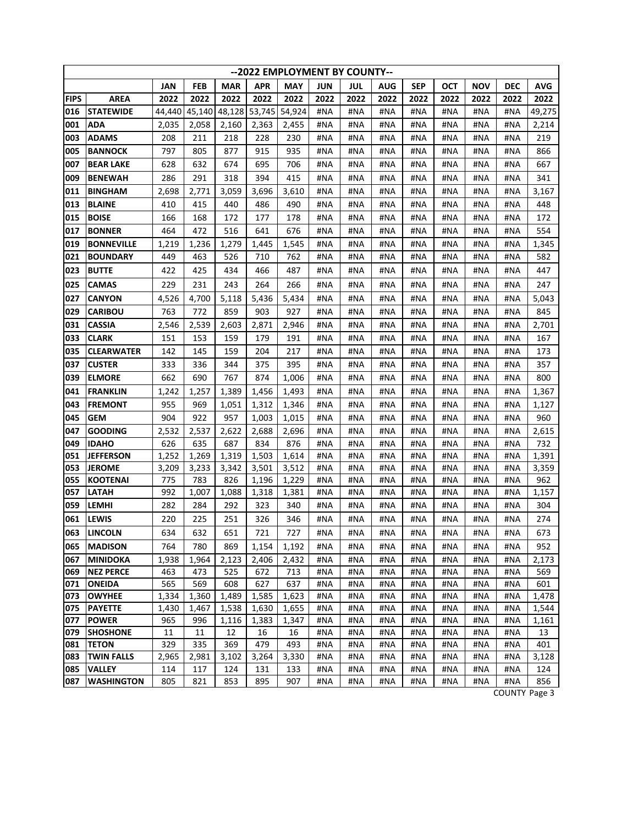| <b>APR</b><br><b>MAY</b><br><b>JUN</b><br><b>JAN</b><br><b>FEB</b><br><b>MAR</b><br>JUL<br>AUG<br>SEP<br>OCT<br><b>NOV</b><br><b>DEC</b><br><b>AVG</b><br><b>FIPS</b><br><b>AREA</b><br>2022<br>2022<br>2022<br>2022<br>2022<br>2022<br>2022<br>2022<br>2022<br>2022<br>2022<br>2022<br>2022<br><b>STATEWIDE</b><br>44,440<br>45,140<br>48,128<br>53,745<br>54,924<br>49,275<br>016<br>#NA<br>#NA<br>#NA<br>#NA<br>#NA<br>#NA<br>#NA<br>001<br><b>ADA</b><br>2,035<br>2,058<br>2,160<br>2,363<br>2,455<br>#NA<br>#NA<br>2,214<br>#NA<br>#NA<br>#NA<br>#NA<br>#NA<br>003<br><b>ADAMS</b><br>218<br>219<br>208<br>211<br>228<br>230<br>#NA<br>#NA<br>#NA<br>#NA<br>#NA<br>#NA<br>#NA<br>877<br>005<br><b>BANNOCK</b><br>797<br>805<br>915<br>935<br>#NA<br>#NA<br>#NA<br>#NA<br>#NA<br>866<br>#NA<br>#NA<br>667<br>007<br><b>BEAR LAKE</b><br>628<br>632<br>674<br>695<br>706<br>#NA<br>#NA<br>#NA<br>#NA<br>#NA<br>#NA<br>#NA<br><b>BENEWAH</b><br>291<br>318<br>394<br>341<br>009<br>286<br>415<br>#NA<br>#NA<br>#NA<br>#NA<br>#NA<br>#NA<br>#NA<br>011<br><b>BINGHAM</b><br>2,698<br>2,771<br>3,059<br>3,696<br>3,610<br>#NA<br>#NA<br>#NA<br>#NA<br>#NA<br>#NA<br>#NA<br>3,167<br>013<br><b>BLAINE</b><br>410<br>415<br>440<br>486<br>#NA<br>#NA<br>#NA<br>448<br>490<br>#NA<br>#NA<br>#NA<br>#NA<br>015<br><b>BOISE</b><br>172<br>172<br>166<br>168<br>177<br>178<br>#NA<br>#NA<br>#NA<br>#NA<br>#NA<br>#NA<br>#NA<br>516<br>554<br>017<br><b>BONNER</b><br>464<br>472<br>641<br>676<br>#NA<br>#NA<br>#NA<br>#NA<br>#NA<br>#NA<br>#NA<br>019<br>1,279<br><b>BONNEVILLE</b><br>1,219<br>1,236<br>1,445<br>1,545<br>#NA<br>#NA<br>#NA<br>#NA<br>#NA<br>#NA<br>#NA<br>1,345<br>582<br>021<br><b>BOUNDARY</b><br>449<br>463<br>526<br>710<br>762<br>#NA<br>#NA<br>#NA<br>#NA<br>#NA<br>#NA<br>#NA<br>434<br>023<br><b>BUTTE</b><br>422<br>425<br>466<br>487<br>#NA<br>#NA<br>#NA<br>#NA<br>#NA<br>#NA<br>#NA<br>447<br>025<br>231<br>243<br>247<br><b>CAMAS</b><br>229<br>264<br>266<br>#NA<br>#NA<br>#NA<br>#NA<br>#NA<br>#NA<br>#NA<br><b>CANYON</b><br>5,043<br>027<br>4,526<br>4,700<br>5,118<br>5,436<br>5,434<br>#NA<br>#NA<br>#NA<br>#NA<br>#NA<br>#NA<br>#NA<br>029<br><b>CARIBOU</b><br>859<br>845<br>763<br>772<br>903<br>927<br>#NA<br>#NA<br>#NA<br>#NA<br>#NA<br>#NA<br>#NA<br>031<br><b>CASSIA</b><br>2,546<br>2,539<br>2,603<br>2,871<br>2,946<br>#NA<br>#NA<br>#NA<br>2,701<br>#NA<br>#NA<br>#NA<br>#NA<br>033<br><b>CLARK</b><br>151<br>159<br>153<br>179<br>191<br>#NA<br>#NA<br>#NA<br>#NA<br>#NA<br>#NA<br>#NA<br>167<br>159<br>035<br><b>CLEARWATER</b><br>142<br>145<br>204<br>217<br>#NA<br>#NA<br>#NA<br>#NA<br>#NA<br>#NA<br>#NA<br>173<br>344<br>357<br>037<br><b>CUSTER</b><br>333<br>336<br>375<br>395<br>#NA<br>#NA<br>#NA<br>#NA<br>#NA<br>#NA<br>#NA<br>767<br>039<br><b>ELMORE</b><br>662<br>690<br>874<br>1,006<br>#NA<br>#NA<br>800<br>#NA<br>#NA<br>#NA<br>#NA<br>#NA<br>1,257<br>1,493<br>041<br><b>FRANKLIN</b><br>1,242<br>1,389<br>1,456<br>#NA<br>#NA<br>#NA<br>#NA<br>#NA<br>#NA<br>#NA<br>1,367<br>043<br><b>FREMONT</b><br>955<br>969<br>1,051<br>1,312<br>1,346<br>#NA<br>#NA<br>#NA<br>#NA<br>#NA<br>1,127<br>#NA<br>#NA<br>045<br>904<br>922<br>957<br>960<br><b>GEM</b><br>1,003<br>1,015<br>#NA<br>#NA<br>#NA<br>#NA<br>#NA<br>#NA<br>#NA<br>2,622<br>047<br><b>GOODING</b><br>2,532<br>2,537<br>2,688<br>2,696<br>2,615<br>#NA<br>#NA<br>#NA<br>#NA<br>#NA<br>#NA<br>#NA<br>626<br>635<br>687<br>834<br>876<br>732<br>049<br><b>IDAHO</b><br>#NA<br>#NA<br>#NA<br>#NA<br>#NA<br>#NA<br>#NA<br>051<br><b>JEFFERSON</b><br>1,252<br>1,269<br>1,319<br>1,503<br>1,614<br>#NA<br>1,391<br>#NA<br>#NA<br>#NA<br>#NA<br>#NA<br>#NA<br>053<br>3,342<br>3,501<br>3,359<br><b>JEROME</b><br>3,209<br>3,233<br>3,512<br>#NA<br>#NA<br>#NA<br>#NA<br>#NA<br>#NA<br>#NA<br>055<br><b>KOOTENAI</b><br>775<br>826<br>1,229<br>962<br>783<br>1,196<br>#NA<br>#NA<br>#NA<br>#NA<br>#NA<br>#NA<br>#NA<br>057<br><b>LATAH</b><br>992<br>1,007<br>1,088<br>1,318<br>1,381<br>#NA<br>#NA<br>#NA<br>#NA<br>#NA<br>#NA<br>#NA<br>1,157<br>059<br>282<br>292<br>340<br>304<br><b>LEMHI</b><br>284<br>323<br>#NA<br>#NA<br>#NA<br>#NA<br>#NA<br>#NA<br>#NA<br>LEWIS<br>220<br>225<br>251<br>061<br>326<br>346<br>#NA<br>#NA<br>#NA<br>#NA<br>#NA<br>#NA<br>#NA<br>274 |
|-----------------------------------------------------------------------------------------------------------------------------------------------------------------------------------------------------------------------------------------------------------------------------------------------------------------------------------------------------------------------------------------------------------------------------------------------------------------------------------------------------------------------------------------------------------------------------------------------------------------------------------------------------------------------------------------------------------------------------------------------------------------------------------------------------------------------------------------------------------------------------------------------------------------------------------------------------------------------------------------------------------------------------------------------------------------------------------------------------------------------------------------------------------------------------------------------------------------------------------------------------------------------------------------------------------------------------------------------------------------------------------------------------------------------------------------------------------------------------------------------------------------------------------------------------------------------------------------------------------------------------------------------------------------------------------------------------------------------------------------------------------------------------------------------------------------------------------------------------------------------------------------------------------------------------------------------------------------------------------------------------------------------------------------------------------------------------------------------------------------------------------------------------------------------------------------------------------------------------------------------------------------------------------------------------------------------------------------------------------------------------------------------------------------------------------------------------------------------------------------------------------------------------------------------------------------------------------------------------------------------------------------------------------------------------------------------------------------------------------------------------------------------------------------------------------------------------------------------------------------------------------------------------------------------------------------------------------------------------------------------------------------------------------------------------------------------------------------------------------------------------------------------------------------------------------------------------------------------------------------------------------------------------------------------------------------------------------------------------------------------------------------------------------------------------------------------------------------------------------------------------------------------------------------------------------------------------------------------------------------------------------------------------------------------------------------------------------------------------------------------------------------------------------------------------------------------------------------------------------------------------------------------------------------------------------------------------------------------------------------------------------------------------------------------------------------------------------------------------------------------------------------------------------------------------------------------------------------------------------------------------------------------------------------------|
|                                                                                                                                                                                                                                                                                                                                                                                                                                                                                                                                                                                                                                                                                                                                                                                                                                                                                                                                                                                                                                                                                                                                                                                                                                                                                                                                                                                                                                                                                                                                                                                                                                                                                                                                                                                                                                                                                                                                                                                                                                                                                                                                                                                                                                                                                                                                                                                                                                                                                                                                                                                                                                                                                                                                                                                                                                                                                                                                                                                                                                                                                                                                                                                                                                                                                                                                                                                                                                                                                                                                                                                                                                                                                                                                                                                                                                                                                                                                                                                                                                                                                                                                                                                                                                                                                               |
|                                                                                                                                                                                                                                                                                                                                                                                                                                                                                                                                                                                                                                                                                                                                                                                                                                                                                                                                                                                                                                                                                                                                                                                                                                                                                                                                                                                                                                                                                                                                                                                                                                                                                                                                                                                                                                                                                                                                                                                                                                                                                                                                                                                                                                                                                                                                                                                                                                                                                                                                                                                                                                                                                                                                                                                                                                                                                                                                                                                                                                                                                                                                                                                                                                                                                                                                                                                                                                                                                                                                                                                                                                                                                                                                                                                                                                                                                                                                                                                                                                                                                                                                                                                                                                                                                               |
|                                                                                                                                                                                                                                                                                                                                                                                                                                                                                                                                                                                                                                                                                                                                                                                                                                                                                                                                                                                                                                                                                                                                                                                                                                                                                                                                                                                                                                                                                                                                                                                                                                                                                                                                                                                                                                                                                                                                                                                                                                                                                                                                                                                                                                                                                                                                                                                                                                                                                                                                                                                                                                                                                                                                                                                                                                                                                                                                                                                                                                                                                                                                                                                                                                                                                                                                                                                                                                                                                                                                                                                                                                                                                                                                                                                                                                                                                                                                                                                                                                                                                                                                                                                                                                                                                               |
|                                                                                                                                                                                                                                                                                                                                                                                                                                                                                                                                                                                                                                                                                                                                                                                                                                                                                                                                                                                                                                                                                                                                                                                                                                                                                                                                                                                                                                                                                                                                                                                                                                                                                                                                                                                                                                                                                                                                                                                                                                                                                                                                                                                                                                                                                                                                                                                                                                                                                                                                                                                                                                                                                                                                                                                                                                                                                                                                                                                                                                                                                                                                                                                                                                                                                                                                                                                                                                                                                                                                                                                                                                                                                                                                                                                                                                                                                                                                                                                                                                                                                                                                                                                                                                                                                               |
|                                                                                                                                                                                                                                                                                                                                                                                                                                                                                                                                                                                                                                                                                                                                                                                                                                                                                                                                                                                                                                                                                                                                                                                                                                                                                                                                                                                                                                                                                                                                                                                                                                                                                                                                                                                                                                                                                                                                                                                                                                                                                                                                                                                                                                                                                                                                                                                                                                                                                                                                                                                                                                                                                                                                                                                                                                                                                                                                                                                                                                                                                                                                                                                                                                                                                                                                                                                                                                                                                                                                                                                                                                                                                                                                                                                                                                                                                                                                                                                                                                                                                                                                                                                                                                                                                               |
|                                                                                                                                                                                                                                                                                                                                                                                                                                                                                                                                                                                                                                                                                                                                                                                                                                                                                                                                                                                                                                                                                                                                                                                                                                                                                                                                                                                                                                                                                                                                                                                                                                                                                                                                                                                                                                                                                                                                                                                                                                                                                                                                                                                                                                                                                                                                                                                                                                                                                                                                                                                                                                                                                                                                                                                                                                                                                                                                                                                                                                                                                                                                                                                                                                                                                                                                                                                                                                                                                                                                                                                                                                                                                                                                                                                                                                                                                                                                                                                                                                                                                                                                                                                                                                                                                               |
|                                                                                                                                                                                                                                                                                                                                                                                                                                                                                                                                                                                                                                                                                                                                                                                                                                                                                                                                                                                                                                                                                                                                                                                                                                                                                                                                                                                                                                                                                                                                                                                                                                                                                                                                                                                                                                                                                                                                                                                                                                                                                                                                                                                                                                                                                                                                                                                                                                                                                                                                                                                                                                                                                                                                                                                                                                                                                                                                                                                                                                                                                                                                                                                                                                                                                                                                                                                                                                                                                                                                                                                                                                                                                                                                                                                                                                                                                                                                                                                                                                                                                                                                                                                                                                                                                               |
|                                                                                                                                                                                                                                                                                                                                                                                                                                                                                                                                                                                                                                                                                                                                                                                                                                                                                                                                                                                                                                                                                                                                                                                                                                                                                                                                                                                                                                                                                                                                                                                                                                                                                                                                                                                                                                                                                                                                                                                                                                                                                                                                                                                                                                                                                                                                                                                                                                                                                                                                                                                                                                                                                                                                                                                                                                                                                                                                                                                                                                                                                                                                                                                                                                                                                                                                                                                                                                                                                                                                                                                                                                                                                                                                                                                                                                                                                                                                                                                                                                                                                                                                                                                                                                                                                               |
|                                                                                                                                                                                                                                                                                                                                                                                                                                                                                                                                                                                                                                                                                                                                                                                                                                                                                                                                                                                                                                                                                                                                                                                                                                                                                                                                                                                                                                                                                                                                                                                                                                                                                                                                                                                                                                                                                                                                                                                                                                                                                                                                                                                                                                                                                                                                                                                                                                                                                                                                                                                                                                                                                                                                                                                                                                                                                                                                                                                                                                                                                                                                                                                                                                                                                                                                                                                                                                                                                                                                                                                                                                                                                                                                                                                                                                                                                                                                                                                                                                                                                                                                                                                                                                                                                               |
|                                                                                                                                                                                                                                                                                                                                                                                                                                                                                                                                                                                                                                                                                                                                                                                                                                                                                                                                                                                                                                                                                                                                                                                                                                                                                                                                                                                                                                                                                                                                                                                                                                                                                                                                                                                                                                                                                                                                                                                                                                                                                                                                                                                                                                                                                                                                                                                                                                                                                                                                                                                                                                                                                                                                                                                                                                                                                                                                                                                                                                                                                                                                                                                                                                                                                                                                                                                                                                                                                                                                                                                                                                                                                                                                                                                                                                                                                                                                                                                                                                                                                                                                                                                                                                                                                               |
|                                                                                                                                                                                                                                                                                                                                                                                                                                                                                                                                                                                                                                                                                                                                                                                                                                                                                                                                                                                                                                                                                                                                                                                                                                                                                                                                                                                                                                                                                                                                                                                                                                                                                                                                                                                                                                                                                                                                                                                                                                                                                                                                                                                                                                                                                                                                                                                                                                                                                                                                                                                                                                                                                                                                                                                                                                                                                                                                                                                                                                                                                                                                                                                                                                                                                                                                                                                                                                                                                                                                                                                                                                                                                                                                                                                                                                                                                                                                                                                                                                                                                                                                                                                                                                                                                               |
|                                                                                                                                                                                                                                                                                                                                                                                                                                                                                                                                                                                                                                                                                                                                                                                                                                                                                                                                                                                                                                                                                                                                                                                                                                                                                                                                                                                                                                                                                                                                                                                                                                                                                                                                                                                                                                                                                                                                                                                                                                                                                                                                                                                                                                                                                                                                                                                                                                                                                                                                                                                                                                                                                                                                                                                                                                                                                                                                                                                                                                                                                                                                                                                                                                                                                                                                                                                                                                                                                                                                                                                                                                                                                                                                                                                                                                                                                                                                                                                                                                                                                                                                                                                                                                                                                               |
|                                                                                                                                                                                                                                                                                                                                                                                                                                                                                                                                                                                                                                                                                                                                                                                                                                                                                                                                                                                                                                                                                                                                                                                                                                                                                                                                                                                                                                                                                                                                                                                                                                                                                                                                                                                                                                                                                                                                                                                                                                                                                                                                                                                                                                                                                                                                                                                                                                                                                                                                                                                                                                                                                                                                                                                                                                                                                                                                                                                                                                                                                                                                                                                                                                                                                                                                                                                                                                                                                                                                                                                                                                                                                                                                                                                                                                                                                                                                                                                                                                                                                                                                                                                                                                                                                               |
|                                                                                                                                                                                                                                                                                                                                                                                                                                                                                                                                                                                                                                                                                                                                                                                                                                                                                                                                                                                                                                                                                                                                                                                                                                                                                                                                                                                                                                                                                                                                                                                                                                                                                                                                                                                                                                                                                                                                                                                                                                                                                                                                                                                                                                                                                                                                                                                                                                                                                                                                                                                                                                                                                                                                                                                                                                                                                                                                                                                                                                                                                                                                                                                                                                                                                                                                                                                                                                                                                                                                                                                                                                                                                                                                                                                                                                                                                                                                                                                                                                                                                                                                                                                                                                                                                               |
|                                                                                                                                                                                                                                                                                                                                                                                                                                                                                                                                                                                                                                                                                                                                                                                                                                                                                                                                                                                                                                                                                                                                                                                                                                                                                                                                                                                                                                                                                                                                                                                                                                                                                                                                                                                                                                                                                                                                                                                                                                                                                                                                                                                                                                                                                                                                                                                                                                                                                                                                                                                                                                                                                                                                                                                                                                                                                                                                                                                                                                                                                                                                                                                                                                                                                                                                                                                                                                                                                                                                                                                                                                                                                                                                                                                                                                                                                                                                                                                                                                                                                                                                                                                                                                                                                               |
|                                                                                                                                                                                                                                                                                                                                                                                                                                                                                                                                                                                                                                                                                                                                                                                                                                                                                                                                                                                                                                                                                                                                                                                                                                                                                                                                                                                                                                                                                                                                                                                                                                                                                                                                                                                                                                                                                                                                                                                                                                                                                                                                                                                                                                                                                                                                                                                                                                                                                                                                                                                                                                                                                                                                                                                                                                                                                                                                                                                                                                                                                                                                                                                                                                                                                                                                                                                                                                                                                                                                                                                                                                                                                                                                                                                                                                                                                                                                                                                                                                                                                                                                                                                                                                                                                               |
|                                                                                                                                                                                                                                                                                                                                                                                                                                                                                                                                                                                                                                                                                                                                                                                                                                                                                                                                                                                                                                                                                                                                                                                                                                                                                                                                                                                                                                                                                                                                                                                                                                                                                                                                                                                                                                                                                                                                                                                                                                                                                                                                                                                                                                                                                                                                                                                                                                                                                                                                                                                                                                                                                                                                                                                                                                                                                                                                                                                                                                                                                                                                                                                                                                                                                                                                                                                                                                                                                                                                                                                                                                                                                                                                                                                                                                                                                                                                                                                                                                                                                                                                                                                                                                                                                               |
|                                                                                                                                                                                                                                                                                                                                                                                                                                                                                                                                                                                                                                                                                                                                                                                                                                                                                                                                                                                                                                                                                                                                                                                                                                                                                                                                                                                                                                                                                                                                                                                                                                                                                                                                                                                                                                                                                                                                                                                                                                                                                                                                                                                                                                                                                                                                                                                                                                                                                                                                                                                                                                                                                                                                                                                                                                                                                                                                                                                                                                                                                                                                                                                                                                                                                                                                                                                                                                                                                                                                                                                                                                                                                                                                                                                                                                                                                                                                                                                                                                                                                                                                                                                                                                                                                               |
|                                                                                                                                                                                                                                                                                                                                                                                                                                                                                                                                                                                                                                                                                                                                                                                                                                                                                                                                                                                                                                                                                                                                                                                                                                                                                                                                                                                                                                                                                                                                                                                                                                                                                                                                                                                                                                                                                                                                                                                                                                                                                                                                                                                                                                                                                                                                                                                                                                                                                                                                                                                                                                                                                                                                                                                                                                                                                                                                                                                                                                                                                                                                                                                                                                                                                                                                                                                                                                                                                                                                                                                                                                                                                                                                                                                                                                                                                                                                                                                                                                                                                                                                                                                                                                                                                               |
|                                                                                                                                                                                                                                                                                                                                                                                                                                                                                                                                                                                                                                                                                                                                                                                                                                                                                                                                                                                                                                                                                                                                                                                                                                                                                                                                                                                                                                                                                                                                                                                                                                                                                                                                                                                                                                                                                                                                                                                                                                                                                                                                                                                                                                                                                                                                                                                                                                                                                                                                                                                                                                                                                                                                                                                                                                                                                                                                                                                                                                                                                                                                                                                                                                                                                                                                                                                                                                                                                                                                                                                                                                                                                                                                                                                                                                                                                                                                                                                                                                                                                                                                                                                                                                                                                               |
|                                                                                                                                                                                                                                                                                                                                                                                                                                                                                                                                                                                                                                                                                                                                                                                                                                                                                                                                                                                                                                                                                                                                                                                                                                                                                                                                                                                                                                                                                                                                                                                                                                                                                                                                                                                                                                                                                                                                                                                                                                                                                                                                                                                                                                                                                                                                                                                                                                                                                                                                                                                                                                                                                                                                                                                                                                                                                                                                                                                                                                                                                                                                                                                                                                                                                                                                                                                                                                                                                                                                                                                                                                                                                                                                                                                                                                                                                                                                                                                                                                                                                                                                                                                                                                                                                               |
|                                                                                                                                                                                                                                                                                                                                                                                                                                                                                                                                                                                                                                                                                                                                                                                                                                                                                                                                                                                                                                                                                                                                                                                                                                                                                                                                                                                                                                                                                                                                                                                                                                                                                                                                                                                                                                                                                                                                                                                                                                                                                                                                                                                                                                                                                                                                                                                                                                                                                                                                                                                                                                                                                                                                                                                                                                                                                                                                                                                                                                                                                                                                                                                                                                                                                                                                                                                                                                                                                                                                                                                                                                                                                                                                                                                                                                                                                                                                                                                                                                                                                                                                                                                                                                                                                               |
|                                                                                                                                                                                                                                                                                                                                                                                                                                                                                                                                                                                                                                                                                                                                                                                                                                                                                                                                                                                                                                                                                                                                                                                                                                                                                                                                                                                                                                                                                                                                                                                                                                                                                                                                                                                                                                                                                                                                                                                                                                                                                                                                                                                                                                                                                                                                                                                                                                                                                                                                                                                                                                                                                                                                                                                                                                                                                                                                                                                                                                                                                                                                                                                                                                                                                                                                                                                                                                                                                                                                                                                                                                                                                                                                                                                                                                                                                                                                                                                                                                                                                                                                                                                                                                                                                               |
|                                                                                                                                                                                                                                                                                                                                                                                                                                                                                                                                                                                                                                                                                                                                                                                                                                                                                                                                                                                                                                                                                                                                                                                                                                                                                                                                                                                                                                                                                                                                                                                                                                                                                                                                                                                                                                                                                                                                                                                                                                                                                                                                                                                                                                                                                                                                                                                                                                                                                                                                                                                                                                                                                                                                                                                                                                                                                                                                                                                                                                                                                                                                                                                                                                                                                                                                                                                                                                                                                                                                                                                                                                                                                                                                                                                                                                                                                                                                                                                                                                                                                                                                                                                                                                                                                               |
|                                                                                                                                                                                                                                                                                                                                                                                                                                                                                                                                                                                                                                                                                                                                                                                                                                                                                                                                                                                                                                                                                                                                                                                                                                                                                                                                                                                                                                                                                                                                                                                                                                                                                                                                                                                                                                                                                                                                                                                                                                                                                                                                                                                                                                                                                                                                                                                                                                                                                                                                                                                                                                                                                                                                                                                                                                                                                                                                                                                                                                                                                                                                                                                                                                                                                                                                                                                                                                                                                                                                                                                                                                                                                                                                                                                                                                                                                                                                                                                                                                                                                                                                                                                                                                                                                               |
|                                                                                                                                                                                                                                                                                                                                                                                                                                                                                                                                                                                                                                                                                                                                                                                                                                                                                                                                                                                                                                                                                                                                                                                                                                                                                                                                                                                                                                                                                                                                                                                                                                                                                                                                                                                                                                                                                                                                                                                                                                                                                                                                                                                                                                                                                                                                                                                                                                                                                                                                                                                                                                                                                                                                                                                                                                                                                                                                                                                                                                                                                                                                                                                                                                                                                                                                                                                                                                                                                                                                                                                                                                                                                                                                                                                                                                                                                                                                                                                                                                                                                                                                                                                                                                                                                               |
|                                                                                                                                                                                                                                                                                                                                                                                                                                                                                                                                                                                                                                                                                                                                                                                                                                                                                                                                                                                                                                                                                                                                                                                                                                                                                                                                                                                                                                                                                                                                                                                                                                                                                                                                                                                                                                                                                                                                                                                                                                                                                                                                                                                                                                                                                                                                                                                                                                                                                                                                                                                                                                                                                                                                                                                                                                                                                                                                                                                                                                                                                                                                                                                                                                                                                                                                                                                                                                                                                                                                                                                                                                                                                                                                                                                                                                                                                                                                                                                                                                                                                                                                                                                                                                                                                               |
|                                                                                                                                                                                                                                                                                                                                                                                                                                                                                                                                                                                                                                                                                                                                                                                                                                                                                                                                                                                                                                                                                                                                                                                                                                                                                                                                                                                                                                                                                                                                                                                                                                                                                                                                                                                                                                                                                                                                                                                                                                                                                                                                                                                                                                                                                                                                                                                                                                                                                                                                                                                                                                                                                                                                                                                                                                                                                                                                                                                                                                                                                                                                                                                                                                                                                                                                                                                                                                                                                                                                                                                                                                                                                                                                                                                                                                                                                                                                                                                                                                                                                                                                                                                                                                                                                               |
|                                                                                                                                                                                                                                                                                                                                                                                                                                                                                                                                                                                                                                                                                                                                                                                                                                                                                                                                                                                                                                                                                                                                                                                                                                                                                                                                                                                                                                                                                                                                                                                                                                                                                                                                                                                                                                                                                                                                                                                                                                                                                                                                                                                                                                                                                                                                                                                                                                                                                                                                                                                                                                                                                                                                                                                                                                                                                                                                                                                                                                                                                                                                                                                                                                                                                                                                                                                                                                                                                                                                                                                                                                                                                                                                                                                                                                                                                                                                                                                                                                                                                                                                                                                                                                                                                               |
|                                                                                                                                                                                                                                                                                                                                                                                                                                                                                                                                                                                                                                                                                                                                                                                                                                                                                                                                                                                                                                                                                                                                                                                                                                                                                                                                                                                                                                                                                                                                                                                                                                                                                                                                                                                                                                                                                                                                                                                                                                                                                                                                                                                                                                                                                                                                                                                                                                                                                                                                                                                                                                                                                                                                                                                                                                                                                                                                                                                                                                                                                                                                                                                                                                                                                                                                                                                                                                                                                                                                                                                                                                                                                                                                                                                                                                                                                                                                                                                                                                                                                                                                                                                                                                                                                               |
|                                                                                                                                                                                                                                                                                                                                                                                                                                                                                                                                                                                                                                                                                                                                                                                                                                                                                                                                                                                                                                                                                                                                                                                                                                                                                                                                                                                                                                                                                                                                                                                                                                                                                                                                                                                                                                                                                                                                                                                                                                                                                                                                                                                                                                                                                                                                                                                                                                                                                                                                                                                                                                                                                                                                                                                                                                                                                                                                                                                                                                                                                                                                                                                                                                                                                                                                                                                                                                                                                                                                                                                                                                                                                                                                                                                                                                                                                                                                                                                                                                                                                                                                                                                                                                                                                               |
|                                                                                                                                                                                                                                                                                                                                                                                                                                                                                                                                                                                                                                                                                                                                                                                                                                                                                                                                                                                                                                                                                                                                                                                                                                                                                                                                                                                                                                                                                                                                                                                                                                                                                                                                                                                                                                                                                                                                                                                                                                                                                                                                                                                                                                                                                                                                                                                                                                                                                                                                                                                                                                                                                                                                                                                                                                                                                                                                                                                                                                                                                                                                                                                                                                                                                                                                                                                                                                                                                                                                                                                                                                                                                                                                                                                                                                                                                                                                                                                                                                                                                                                                                                                                                                                                                               |
|                                                                                                                                                                                                                                                                                                                                                                                                                                                                                                                                                                                                                                                                                                                                                                                                                                                                                                                                                                                                                                                                                                                                                                                                                                                                                                                                                                                                                                                                                                                                                                                                                                                                                                                                                                                                                                                                                                                                                                                                                                                                                                                                                                                                                                                                                                                                                                                                                                                                                                                                                                                                                                                                                                                                                                                                                                                                                                                                                                                                                                                                                                                                                                                                                                                                                                                                                                                                                                                                                                                                                                                                                                                                                                                                                                                                                                                                                                                                                                                                                                                                                                                                                                                                                                                                                               |
|                                                                                                                                                                                                                                                                                                                                                                                                                                                                                                                                                                                                                                                                                                                                                                                                                                                                                                                                                                                                                                                                                                                                                                                                                                                                                                                                                                                                                                                                                                                                                                                                                                                                                                                                                                                                                                                                                                                                                                                                                                                                                                                                                                                                                                                                                                                                                                                                                                                                                                                                                                                                                                                                                                                                                                                                                                                                                                                                                                                                                                                                                                                                                                                                                                                                                                                                                                                                                                                                                                                                                                                                                                                                                                                                                                                                                                                                                                                                                                                                                                                                                                                                                                                                                                                                                               |
| <b>LINCOLN</b><br>651<br>727<br>063<br>634<br>632<br>721<br>673<br>#NA<br>#NA<br>#NA<br>#NA<br>#NA<br>#NA<br>#NA                                                                                                                                                                                                                                                                                                                                                                                                                                                                                                                                                                                                                                                                                                                                                                                                                                                                                                                                                                                                                                                                                                                                                                                                                                                                                                                                                                                                                                                                                                                                                                                                                                                                                                                                                                                                                                                                                                                                                                                                                                                                                                                                                                                                                                                                                                                                                                                                                                                                                                                                                                                                                                                                                                                                                                                                                                                                                                                                                                                                                                                                                                                                                                                                                                                                                                                                                                                                                                                                                                                                                                                                                                                                                                                                                                                                                                                                                                                                                                                                                                                                                                                                                                              |
| 780<br>869<br>952<br>065<br><b>MADISON</b><br>764<br>1,154<br>1,192<br>#NA<br>#NA<br>#NA<br>#NA<br>#NA<br>#NA<br>#NA                                                                                                                                                                                                                                                                                                                                                                                                                                                                                                                                                                                                                                                                                                                                                                                                                                                                                                                                                                                                                                                                                                                                                                                                                                                                                                                                                                                                                                                                                                                                                                                                                                                                                                                                                                                                                                                                                                                                                                                                                                                                                                                                                                                                                                                                                                                                                                                                                                                                                                                                                                                                                                                                                                                                                                                                                                                                                                                                                                                                                                                                                                                                                                                                                                                                                                                                                                                                                                                                                                                                                                                                                                                                                                                                                                                                                                                                                                                                                                                                                                                                                                                                                                          |
| 067<br><b>MINIDOKA</b><br>1,938<br>1,964<br>2,123<br>2,406<br>2,432<br>#NA<br>#NA<br>#NA<br>#NA<br>#NA<br>#NA<br>#NA<br>2,173                                                                                                                                                                                                                                                                                                                                                                                                                                                                                                                                                                                                                                                                                                                                                                                                                                                                                                                                                                                                                                                                                                                                                                                                                                                                                                                                                                                                                                                                                                                                                                                                                                                                                                                                                                                                                                                                                                                                                                                                                                                                                                                                                                                                                                                                                                                                                                                                                                                                                                                                                                                                                                                                                                                                                                                                                                                                                                                                                                                                                                                                                                                                                                                                                                                                                                                                                                                                                                                                                                                                                                                                                                                                                                                                                                                                                                                                                                                                                                                                                                                                                                                                                                 |
| 069<br><b>NEZ PERCE</b><br>463<br>473<br>525<br>672<br>713<br>#NA<br>#NA<br>#NA<br>#NA<br>#NA<br>569<br>#NA<br>#NA                                                                                                                                                                                                                                                                                                                                                                                                                                                                                                                                                                                                                                                                                                                                                                                                                                                                                                                                                                                                                                                                                                                                                                                                                                                                                                                                                                                                                                                                                                                                                                                                                                                                                                                                                                                                                                                                                                                                                                                                                                                                                                                                                                                                                                                                                                                                                                                                                                                                                                                                                                                                                                                                                                                                                                                                                                                                                                                                                                                                                                                                                                                                                                                                                                                                                                                                                                                                                                                                                                                                                                                                                                                                                                                                                                                                                                                                                                                                                                                                                                                                                                                                                                            |
| <b>ONEIDA</b><br>565<br>569<br>608<br>627<br>637<br>601<br>071<br>#NA<br>#NA<br>#NA<br>#NA<br>#NA<br>#NA<br>#NA                                                                                                                                                                                                                                                                                                                                                                                                                                                                                                                                                                                                                                                                                                                                                                                                                                                                                                                                                                                                                                                                                                                                                                                                                                                                                                                                                                                                                                                                                                                                                                                                                                                                                                                                                                                                                                                                                                                                                                                                                                                                                                                                                                                                                                                                                                                                                                                                                                                                                                                                                                                                                                                                                                                                                                                                                                                                                                                                                                                                                                                                                                                                                                                                                                                                                                                                                                                                                                                                                                                                                                                                                                                                                                                                                                                                                                                                                                                                                                                                                                                                                                                                                                               |
| 073<br><b>OWYHEE</b><br>1,334<br>1,360<br>1,489<br>1,585<br>1,623<br>#NA<br>1,478<br>#NA<br>#NA<br>#NA<br>#NA<br>#NA<br>#NA                                                                                                                                                                                                                                                                                                                                                                                                                                                                                                                                                                                                                                                                                                                                                                                                                                                                                                                                                                                                                                                                                                                                                                                                                                                                                                                                                                                                                                                                                                                                                                                                                                                                                                                                                                                                                                                                                                                                                                                                                                                                                                                                                                                                                                                                                                                                                                                                                                                                                                                                                                                                                                                                                                                                                                                                                                                                                                                                                                                                                                                                                                                                                                                                                                                                                                                                                                                                                                                                                                                                                                                                                                                                                                                                                                                                                                                                                                                                                                                                                                                                                                                                                                   |
| 075<br><b>PAYETTE</b><br>1,430<br>1,538<br>#NA<br>1,467<br>1,630<br>1,655<br>#NA<br>#NA<br>#NA<br>#NA<br>#NA<br>#NA<br>1,544                                                                                                                                                                                                                                                                                                                                                                                                                                                                                                                                                                                                                                                                                                                                                                                                                                                                                                                                                                                                                                                                                                                                                                                                                                                                                                                                                                                                                                                                                                                                                                                                                                                                                                                                                                                                                                                                                                                                                                                                                                                                                                                                                                                                                                                                                                                                                                                                                                                                                                                                                                                                                                                                                                                                                                                                                                                                                                                                                                                                                                                                                                                                                                                                                                                                                                                                                                                                                                                                                                                                                                                                                                                                                                                                                                                                                                                                                                                                                                                                                                                                                                                                                                  |
| 077<br><b>POWER</b><br>965<br>996<br>1,116<br>1,383<br>1,347<br>#NA<br>#NA<br>#NA<br>#NA<br>#NA<br>#NA<br>#NA<br>1,161<br><b>SHOSHONE</b><br>11<br>12<br>#NA<br>#NA<br>#NA                                                                                                                                                                                                                                                                                                                                                                                                                                                                                                                                                                                                                                                                                                                                                                                                                                                                                                                                                                                                                                                                                                                                                                                                                                                                                                                                                                                                                                                                                                                                                                                                                                                                                                                                                                                                                                                                                                                                                                                                                                                                                                                                                                                                                                                                                                                                                                                                                                                                                                                                                                                                                                                                                                                                                                                                                                                                                                                                                                                                                                                                                                                                                                                                                                                                                                                                                                                                                                                                                                                                                                                                                                                                                                                                                                                                                                                                                                                                                                                                                                                                                                                    |
| 079<br>11<br>16<br>16<br>#NA<br>#NA<br>#NA<br>#NA<br>13<br>369<br>081<br>329<br>335<br>479<br>493<br>401<br><b>TETON</b>                                                                                                                                                                                                                                                                                                                                                                                                                                                                                                                                                                                                                                                                                                                                                                                                                                                                                                                                                                                                                                                                                                                                                                                                                                                                                                                                                                                                                                                                                                                                                                                                                                                                                                                                                                                                                                                                                                                                                                                                                                                                                                                                                                                                                                                                                                                                                                                                                                                                                                                                                                                                                                                                                                                                                                                                                                                                                                                                                                                                                                                                                                                                                                                                                                                                                                                                                                                                                                                                                                                                                                                                                                                                                                                                                                                                                                                                                                                                                                                                                                                                                                                                                                      |
| #NA<br>#NA<br>#NA<br>#NA<br>#NA<br>#NA<br>#NA<br>083<br><b>TWIN FALLS</b><br>2,981<br>3,102<br>3,264<br>3,330<br>#NA<br>#NA<br>3,128<br>2,965<br>#NA<br>#NA<br>#NA<br>#NA<br>#NA                                                                                                                                                                                                                                                                                                                                                                                                                                                                                                                                                                                                                                                                                                                                                                                                                                                                                                                                                                                                                                                                                                                                                                                                                                                                                                                                                                                                                                                                                                                                                                                                                                                                                                                                                                                                                                                                                                                                                                                                                                                                                                                                                                                                                                                                                                                                                                                                                                                                                                                                                                                                                                                                                                                                                                                                                                                                                                                                                                                                                                                                                                                                                                                                                                                                                                                                                                                                                                                                                                                                                                                                                                                                                                                                                                                                                                                                                                                                                                                                                                                                                                              |
| 085<br><b>VALLEY</b><br>114<br>117<br>124<br>131<br>133<br>#NA<br>#NA<br>#NA<br>#NA<br>#NA<br>#NA<br>#NA<br>124                                                                                                                                                                                                                                                                                                                                                                                                                                                                                                                                                                                                                                                                                                                                                                                                                                                                                                                                                                                                                                                                                                                                                                                                                                                                                                                                                                                                                                                                                                                                                                                                                                                                                                                                                                                                                                                                                                                                                                                                                                                                                                                                                                                                                                                                                                                                                                                                                                                                                                                                                                                                                                                                                                                                                                                                                                                                                                                                                                                                                                                                                                                                                                                                                                                                                                                                                                                                                                                                                                                                                                                                                                                                                                                                                                                                                                                                                                                                                                                                                                                                                                                                                                               |
| 087<br><b>WASHINGTON</b><br>805<br>821<br>853<br>895<br>907<br>#NA<br>856<br>#NA<br>#NA<br>#NA<br>#NA<br>#NA<br>#NA                                                                                                                                                                                                                                                                                                                                                                                                                                                                                                                                                                                                                                                                                                                                                                                                                                                                                                                                                                                                                                                                                                                                                                                                                                                                                                                                                                                                                                                                                                                                                                                                                                                                                                                                                                                                                                                                                                                                                                                                                                                                                                                                                                                                                                                                                                                                                                                                                                                                                                                                                                                                                                                                                                                                                                                                                                                                                                                                                                                                                                                                                                                                                                                                                                                                                                                                                                                                                                                                                                                                                                                                                                                                                                                                                                                                                                                                                                                                                                                                                                                                                                                                                                           |

COUNTY Page 3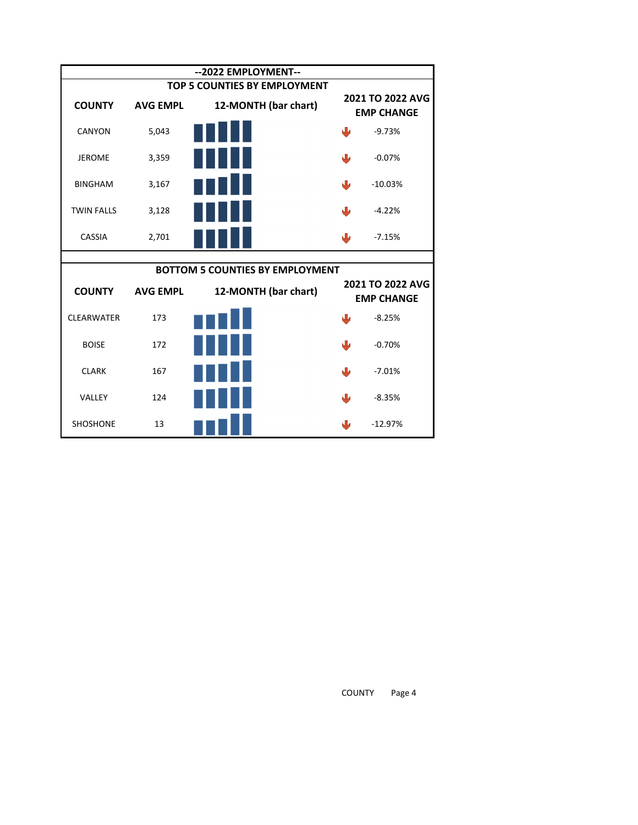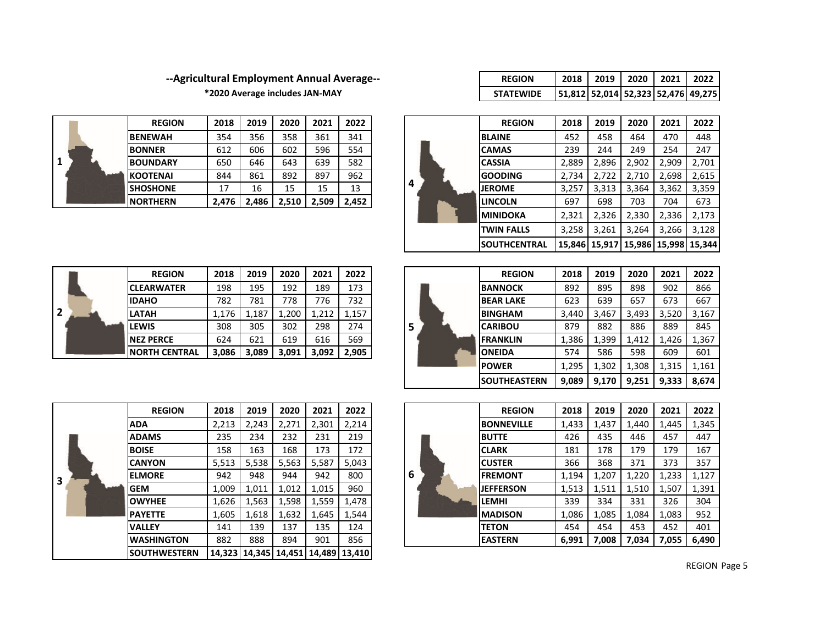| <b>REGION</b>    | 2018 2019 2020                     | 2021 | 12022 |
|------------------|------------------------------------|------|-------|
| <b>STATEWIDE</b> | 51,812 52,014 52,323 52,476 49,275 |      |       |

| REGION      | 2018  | 2019  | 2020  | 2021  | 2022  |   | <b>REGION</b>        | 2018  | 2019  | 2020  | 2021  | 2022                                       |
|-------------|-------|-------|-------|-------|-------|---|----------------------|-------|-------|-------|-------|--------------------------------------------|
| WAH         | 354   | 356   | 358   | 361   | 341   |   | <b>BLAINE</b>        | 452   | 458   | 464   | 470   | 448                                        |
| IER         | 612   | 606   | 602   | 596   | 554   |   | <b>CAMAS</b>         | 239   | 244   | 249   | 254   | 247                                        |
| IDARY       | 650   | 646   | 643   | 639   | 582   |   | <b>CASSIA</b>        | 2,889 | 2,896 | 2,902 | 2,909 | 2,701                                      |
| ENAI        | 844   | 861   | 892   | 897   | 962   |   | <b>IGOODING</b>      | 2,734 | 2,722 | 2,710 | 2,698 | 2,615                                      |
| HONE        | 17    | 16    | 15    | 15    | 13    | 4 | <b>JEROME</b>        | 3,257 | 3,313 | 3,364 | 3,362 | 3,359                                      |
| <b>HERN</b> | 2,476 | 2,486 | 2,510 | 2,509 | 2,452 |   | <b>LINCOLN</b>       | 697   | 698   | 703   | 704   | 673                                        |
|             |       |       |       |       |       |   | <b>IMINIDOKA</b>     | 2,321 | 2,326 | 2,330 | 2,336 | 2,173                                      |
|             |       |       |       |       |       |   | <b>TWIN FALLS</b>    | 3,258 | 3,261 | 3,264 | 3,266 | 3,128                                      |
|             |       |       |       |       |       |   | <b>ISOUTHCENTRAL</b> |       |       |       |       | 15,846   15,917   15,986   15,998   15,344 |

| <b>REGION</b>        | 2018  | 2019  | 2020  | 2021  | 2022  |
|----------------------|-------|-------|-------|-------|-------|
| <b>CLEARWATER</b>    | 198   | 195   | 192   | 189   | 173   |
| <b>IDAHO</b>         | 782   | 781   | 778   | 776   | 732   |
| <b>LATAH</b>         | 1.176 | 1.187 | 1,200 | 1.212 | 1,157 |
| <b>LEWIS</b>         | 308   | 305   | 302   | 298   | 274   |
| <b>NEZ PERCE</b>     | 624   | 621   | 619   | 616   | 569   |
| <b>NORTH CENTRAL</b> | 3,086 | 3,089 | 3,091 | 3,092 | 2,905 |

**‐‐Agricultural Employment Annual Average‐‐ \*2020 Average includes JAN‐MAY**

**NORTHERN 2,476 2,486 2,510 2,509 2,452** 

**BENEWAH**

**BOUNDARY**

**KOOTENAI**

**SHOSHONE**

**BONNER**

**1**

**2**

| <b>REGION</b>     | 2018  | 2019  | 2020  | 2021  | 2022  |   | <b>REGION</b>        | 2018  | 2019  | 2020  | 2021  | 2022  |
|-------------------|-------|-------|-------|-------|-------|---|----------------------|-------|-------|-------|-------|-------|
| <b>RWATER</b>     | 198   | 195   | 192   | 189   | 173   |   | <b>BANNOCK</b>       | 892   | 895   | 898   | 902   | 866   |
| Ο                 | 782   | 781   | 778   | 776   | 732   |   | <b>BEAR LAKE</b>     | 623   | 639   | 657   | 673   | 667   |
| н                 | 1,176 | 1,187 | 1,200 | 1,212 | 1,157 |   | <b>BINGHAM</b>       | 3.440 | 3,467 | 3,493 | 3,520 | 3,167 |
|                   | 308   | 305   | 302   | 298   | 274   | 5 | <b>CARIBOU</b>       | 879   | 882   | 886   | 889   | 845   |
| <b>PERCE</b>      | 624   | 621   | 619   | 616   | 569   |   | <b>IFRANKLIN</b>     | 1,386 | 1,399 | 1.412 | 1,426 | 1,367 |
| <b>TH CENTRAL</b> | 3,086 | 3,089 | 3,091 | 3,092 | 2,905 |   | <b>ONEIDA</b>        | 574   | 586   | 598   | 609   | 601   |
|                   |       |       |       |       |       |   | <b>POWER</b>         | 1.295 | 1,302 | 1,308 | 1,315 | 1,161 |
|                   |       |       |       |       |       |   | <b>ISOUTHEASTERN</b> | 9,089 | 9,170 | 9,251 | 9,333 | 8,674 |

|   |  | <b>REGION</b>                                                                                   | 2018   | 2019  | 2020  | 2021  | 2022                              |  |   |               | R |
|---|--|-------------------------------------------------------------------------------------------------|--------|-------|-------|-------|-----------------------------------|--|---|---------------|---|
|   |  | <b>ADA</b>                                                                                      | 2,213  | 2,243 | 2,271 | 2,301 | 2,214                             |  |   | <b>BONNI</b>  |   |
|   |  | <b>ADAMS</b>                                                                                    | 235    | 234   | 232   | 231   | 219                               |  |   | <b>BUTTE</b>  |   |
|   |  | <b>BOISE</b><br><b>CANYON</b><br><b>ELMORE</b><br><b>GEM</b><br><b>OWYHEE</b><br><b>PAYETTE</b> | 158    | 163   | 168   | 173   | 172                               |  |   | <b>CLARK</b>  |   |
|   |  |                                                                                                 | 5,513  | 5,538 | 5,563 | 5,587 | 5,043                             |  |   | <b>CUSTE</b>  |   |
| 3 |  |                                                                                                 | 942    | 948   | 944   | 942   | 800                               |  | 6 | <b>FREMO</b>  |   |
|   |  |                                                                                                 | 1,009  | 1,011 | 1,012 | 1,015 | 960                               |  |   | <b>JEFFER</b> |   |
|   |  |                                                                                                 | 1,626  | 1,563 | 1,598 | 1,559 | 1,478                             |  |   | <b>LEMHI</b>  |   |
|   |  |                                                                                                 | 1,605  | 1,618 | 1,632 | 1,645 | 1,544                             |  |   | <b>MADIS</b>  |   |
|   |  | <b>VALLEY</b>                                                                                   | 141    | 139   | 137   | 135   | 124                               |  |   | <b>TETON</b>  |   |
|   |  | <b>WASHINGTON</b>                                                                               | 882    | 888   | 894   | 901   | 856                               |  |   | <b>EASTEI</b> |   |
|   |  | <b>SOUTHWESTERN</b>                                                                             | 14.323 |       |       |       | 14.345   14.451   14.489   13.410 |  |   |               |   |

| <b>REGION</b>    | 2018  | 2019  | 2020  | 2021  | 2022  |   | <b>REGION</b>     | 2018  | 2019  | 2020  | 2021  | 2022  |
|------------------|-------|-------|-------|-------|-------|---|-------------------|-------|-------|-------|-------|-------|
| A                | 2.213 | 2,243 | 2.271 | 2.301 | 2.214 |   | <b>BONNEVILLE</b> | 1,433 | 1,437 | 1.440 | 1,445 | 1,345 |
| <b>AMS</b>       | 235   | 234   | 232   | 231   | 219   |   | <b>BUTTE</b>      | 426   | 435   | 446   | 457   | 447   |
| <b>ISE</b>       | 158   | 163   | 168   | 173   | 172   |   | <b>CLARK</b>      | 181   | 178   | 179   | 179   | 167   |
| <b>NYON</b>      | 5,513 | 5,538 | 5,563 | 5,587 | 5,043 |   | <b>CUSTER</b>     | 366   | 368   | 371   | 373   | 357   |
| <b>MORE</b>      | 942   | 948   | 944   | 942   | 800   | 6 | <b>FREMONT</b>    | 1,194 | 1,207 | 1,220 | 1,233 | 1,127 |
| М                | 1,009 | 1,011 | 1,012 | 1,015 | 960   |   | <b>JEFFERSON</b>  | 1,513 | 1,511 | 1,510 | 1,507 | 1,391 |
| <b>VYHEE</b>     | 1,626 | 1,563 | 1,598 | 1,559 | 1.478 |   | <b>LEMHI</b>      | 339   | 334   | 331   | 326   | 304   |
| YETTE            | 1,605 | 1,618 | 1,632 | 1,645 | L,544 |   | <b>IMADISON</b>   | 1,086 | 1,085 | 1,084 | 1,083 | 952   |
| LLEY             | 141   | 139   | 137   | 135   | 124   |   | <b>TETON</b>      | 454   | 454   | 453   | 452   | 401   |
| <b>ASHINGTON</b> | 882   | 888   | 894   | 901   | 856   |   | <b>EASTERN</b>    | 6.991 | 7,008 | 7,034 | 7,055 | 6,490 |

REGION Page 5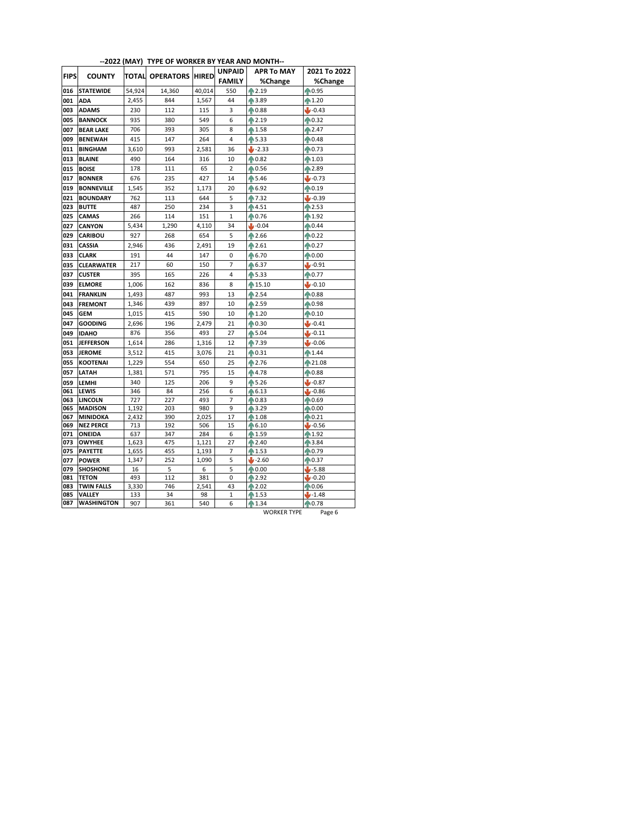| <b>FIPS</b><br>016<br>001<br>003 | <b>COUNTY</b><br><b>STATEWIDE</b><br><b>ADA</b><br><b>ADAMS</b><br><b>BANNOCK</b> | 54,924<br>2,455 | <b>TOTAL OPERATORS HIRED</b><br>14,360 |            | <b>FAMILY</b>  | %Change                              | %Change          |
|----------------------------------|-----------------------------------------------------------------------------------|-----------------|----------------------------------------|------------|----------------|--------------------------------------|------------------|
|                                  |                                                                                   |                 |                                        |            |                |                                      |                  |
|                                  |                                                                                   |                 |                                        | 40,014     | 550            | ₼ 2.19                               | ₼0.95            |
|                                  |                                                                                   |                 | 844                                    | 1,567      | 44             | ₼ 3.89                               | $\bigwedge$ 1.20 |
|                                  |                                                                                   | 230             | 112                                    | 115        | 3              | $\bigcap 0.88$                       | $J - 0.43$       |
| 005                              |                                                                                   | 935             | 380                                    | 549        | 6              | $\bigcap$ 2.19                       | 0.32             |
| 007                              | <b>BEAR LAKE</b>                                                                  | 706             | 393                                    | 305        | 8              | $\bigcap$ 1.58                       | ₼2.47            |
| 009                              | <b>BENEWAH</b>                                                                    | 415             | 147                                    | 264        | 4              | ₼ 5.33                               | ₼0.48            |
| 011                              | <b>BINGHAM</b>                                                                    | 3,610           | 993                                    | 2,581      | 36             | $1 - 2.33$                           | 0.73             |
| 013                              | <b>BLAINE</b>                                                                     | 490             | 164                                    | 316        | 10             | $\bigcap 0.82$                       | $\bigwedge$ 1.03 |
| 015                              | <b>BOISE</b>                                                                      | 178             | 111                                    | 65         | $\overline{2}$ | 0.56                                 | ₼2.89            |
| 017                              | <b>BONNER</b>                                                                     | 676             | 235                                    | 427        | 14             | ₼ 5.46                               | $-0.73$          |
| 019                              | <b>BONNEVILLE</b>                                                                 | 1,545           | 352                                    | 1,173      | 20             | ₼6.92                                | $\bigcirc$ 0.19  |
| 021                              | <b>BOUNDARY</b>                                                                   | 762             | 113                                    | 644        | 5              | <b>A</b> 7.32                        | $-0.39$          |
| 023                              | <b>BUTTE</b>                                                                      | 487             | 250                                    | 234        | 3              | $\bigcirc$ 4.51                      | $\bigcirc$ 2.53  |
| 025                              | <b>CAMAS</b>                                                                      | 266             | 114                                    | 151        | 1              | 0.76                                 | $\bigcap_{1.92}$ |
| 027                              | <b>CANYON</b>                                                                     | 5,434           | 1,290                                  | 4,110      | 34             | $J = 0.04$                           | $\bigcirc$ 0.44  |
| 029                              | <b>CARIBOU</b>                                                                    | 927             | 268                                    | 654        | 5              | ₼ 2.66                               | 0.22             |
| 031                              | <b>CASSIA</b>                                                                     | 2,946           | 436                                    | 2,491      | 19             | $\bigcap$ 2.61                       | 0.27             |
| 033                              | <b>CLARK</b>                                                                      | 191             | 44                                     | 147        | 0              | ₼6.70                                | 10.00            |
| 035                              | <b>CLEARWATER</b>                                                                 | 217             | 60                                     | 150        | 7              | ₼6.37                                | $J - 0.91$       |
| 037                              | <b>CUSTER</b>                                                                     | 395             | 165                                    | 226        | 4              | ₼ 5.33                               | $\bigcirc$ 0.77  |
| 039                              | <b>ELMORE</b>                                                                     | 1,006           | 162                                    | 836        | 8              | $\bigcap$ 15.10                      | $-0.10$          |
| 041                              | <b>FRANKLIN</b>                                                                   | 1,493           | 487                                    | 993        | 13             | ₼ 2.54                               | ₼0.88            |
| 043                              | <b>FREMONT</b>                                                                    | 1,346           | 439                                    | 897        | 10             | ₼ 2.59                               | ₼0.98            |
| 045                              | <b>GEM</b>                                                                        | 1,015           | 415                                    | 590        | 10             | $\bigwedge$ 1.20                     | 0.10             |
| 047                              | <b>GOODING</b>                                                                    | 2,696           | 196                                    | 2.479      | 21             | $\bigcirc$ 0.30                      | $U - 0.41$       |
| 049                              | <b>IDAHO</b>                                                                      | 876             | 356                                    | 493        | 27             | ₼ 5.04                               | $-0.11$          |
| 051                              | <b>JEFFERSON</b>                                                                  | 1,614           | 286                                    | 1,316      | 12             | ₼7.39                                | $-0.06$          |
| 053                              | <b>JEROME</b>                                                                     | 3,512           | 415                                    | 3,076      | 21             | $\bigcap 0.31$                       | 1.44             |
| 055                              | <b>KOOTENAI</b>                                                                   | 1.229           | 554                                    | 650        | 25             | $\binom{1}{1}$ 2.76                  | ₼21.08           |
| 057                              | LATAH                                                                             | 1,381           | 571                                    | 795        | 15             | 14.78                                | ₼0.88            |
| 059                              | <b>LEMHI</b>                                                                      | 340             | 125                                    | 206        | 9              | ₼5.26                                | $J = 0.87$       |
| 061                              | LEWIS                                                                             | 346             | 84                                     | 256        | 6              | $\bigcap 6.13$                       | $J - 0.86$       |
| 063                              | <b>LINCOLN</b>                                                                    | 727             | 227                                    | 493        | 7              | $\bigcap 0.83$                       | ₼0.69            |
| 065                              | <b>MADISON</b>                                                                    | 1,192           | 203                                    | 980        | 9              | ₼ 3.29                               | 10.00            |
| 067                              | <b>MINIDOKA</b>                                                                   | 2,432           | 390                                    | 2,025      | 17             | $\bigcap$ 1.08                       | 0.21             |
| 069                              | <b>NEZ PERCE</b>                                                                  | 713             | 192                                    | 506<br>284 | 15             | $\bigcap 6.10$<br>₼ 1.59             | $-0.56$          |
| 071<br>073                       | <b>ONEIDA</b><br><b>OWYHEE</b>                                                    | 637<br>1.623    | 347<br>475                             | 1,121      | 6<br>27        | ₼ 2.40                               | 1.92<br>13.84    |
| 075                              | <b>PAYETTE</b>                                                                    | 1,655           | 455                                    | 1,193      | 7              | $\binom{1.53}{ }$                    | ₼0.79            |
| 077                              | <b>POWER</b>                                                                      | 1,347           | 252                                    | 1,090      | 5              | $-2.60$                              | 10.37            |
| 079                              | <b>SHOSHONE</b>                                                                   | 16              | 5                                      | 6          | 5              | 0.00                                 | $J - 5.88$       |
| 081                              | <b>TETON</b>                                                                      | 493             | 112                                    | 381        | 0              | ₼ 2.92                               | $-0.20$          |
| 083                              | <b>TWIN FALLS</b>                                                                 | 3,330           | 746                                    | 2,541      | 43             | $\binom{1}{1}$ 2.02                  | 10.06            |
| 085                              | VALLEY                                                                            | 133             | 34                                     | 98         | 1              | $\bigwedge$ 1.53                     | 1.48             |
| 087                              | <b>WASHINGTON</b>                                                                 | 907             | 361                                    | 540        | 6              | $\bigcap$ 1.34<br><b>WORKER TYPE</b> | ₼0.78<br>Page 6  |

## **‐‐2022 (MAY) TYPE OF WORKER BY YEAR AND MONTH‐‐**

WORKER TYPE Page 6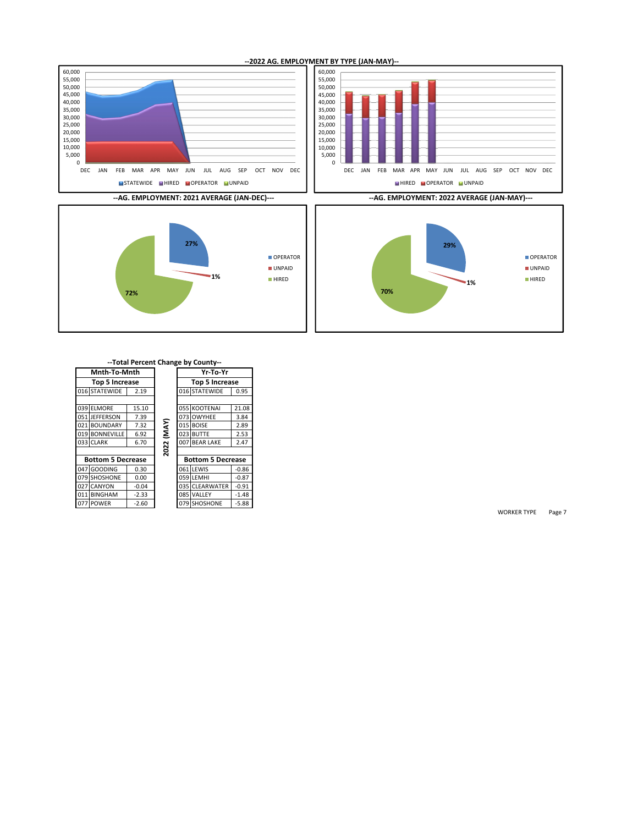## **‐‐2022 AG. EMPLOYMENT BY TYPE (JAN‐MAY)‐‐**









## **‐‐Total Percent Change by County‐‐**

|     | Mnth-To-Mnth             |         |       | Yr-To-Yr                 |         |
|-----|--------------------------|---------|-------|--------------------------|---------|
|     | <b>Top 5 Increase</b>    |         |       | <b>Top 5 Increase</b>    |         |
|     | 016 STATEWIDE            | 2.19    |       | 016 STATEWIDE            | 0.95    |
|     |                          |         |       |                          |         |
|     | 039 ELMORE               | 15.10   |       | 055 KOOTENAI             | 21.08   |
|     | 051 JEFFERSON            | 7.39    |       | 073 OWYHEE               | 3.84    |
|     | 021 BOUNDARY             | 7.32    | (MAY) | 015 BOISE                | 2.89    |
|     | 019 BONNEVILLE           | 6.92    |       | 023 BUTTE                | 2.53    |
|     | 033 CLARK                | 6.70    | 2022  | 007 BEAR LAKE            | 2.47    |
|     |                          |         |       |                          |         |
|     | <b>Bottom 5 Decrease</b> |         |       | <b>Bottom 5 Decrease</b> |         |
|     | 047 GOODING              | 0.30    |       | 061 LEWIS                | $-0.86$ |
|     | 079 SHOSHONE             | 0.00    |       | 059 LEMHI                | $-0.87$ |
|     | 027 CANYON               | $-0.04$ |       | 035 CLEARWATER           | $-0.91$ |
| 011 | <b>BINGHAM</b>           | $-2.33$ |       | 085 VALLEY               | $-1.48$ |
|     | 077 POWER                | $-2.60$ |       | 079 SHOSHONE             | $-5.88$ |
|     |                          |         |       |                          |         |

WORKER TYPE Page 7